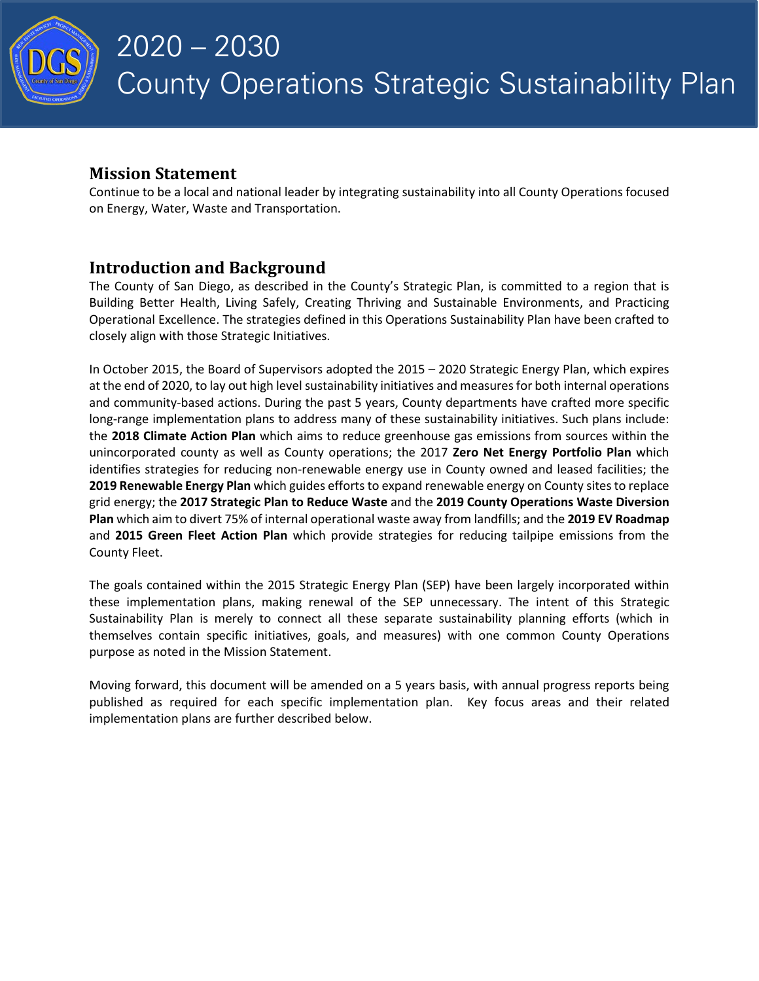

# **Mission Statement**

Continue to be a local and national leader by integrating sustainability into all County Operations focused on Energy, Water, Waste and Transportation.

# **Introduction and Background**

The County of San Diego, as described in the County's Strategic Plan, is committed to a region that is Building Better Health, Living Safely, Creating Thriving and Sustainable Environments, and Practicing Operational Excellence. The strategies defined in this Operations Sustainability Plan have been crafted to closely align with those Strategic Initiatives.

In October 2015, the Board of Supervisors adopted the 2015 – 2020 Strategic Energy Plan, which expires at the end of 2020, to lay out high level sustainability initiatives and measures for both internal operations and community-based actions. During the past 5 years, County departments have crafted more specific long-range implementation plans to address many of these sustainability initiatives. Such plans include: the **2018 Climate Action Plan** which aims to reduce greenhouse gas emissions from sources within the unincorporated county as well as County operations; the 2017 **Zero Net Energy Portfolio Plan** which identifies strategies for reducing non-renewable energy use in County owned and leased facilities; the **2019 Renewable Energy Plan** which guides efforts to expand renewable energy on County sites to replace grid energy; the **2017 Strategic Plan to Reduce Waste** and the **2019 County Operations Waste Diversion Plan** which aim to divert 75% of internal operational waste away from landfills; and the **2019 EV Roadmap** and **2015 Green Fleet Action Plan** which provide strategies for reducing tailpipe emissions from the County Fleet.

The goals contained within the 2015 Strategic Energy Plan (SEP) have been largely incorporated within these implementation plans, making renewal of the SEP unnecessary. The intent of this Strategic Sustainability Plan is merely to connect all these separate sustainability planning efforts (which in themselves contain specific initiatives, goals, and measures) with one common County Operations purpose as noted in the Mission Statement.

Moving forward, this document will be amended on a 5 years basis, with annual progress reports being published as required for each specific implementation plan. Key focus areas and their related implementation plans are further described below.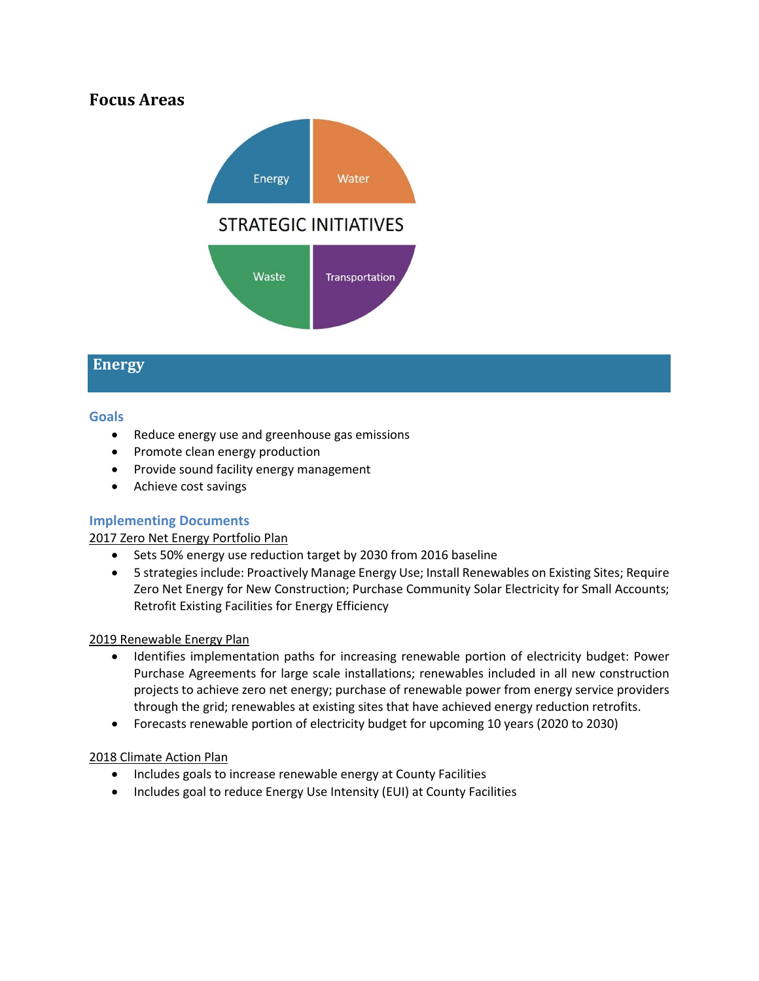# **Focus Areas**



# **Energy**

## **Goals**

- Reduce energy use and greenhouse gas emissions
- Promote clean energy production
- Provide sound facility energy management
- Achieve cost savings

# **Implementing Documents**

# 2017 Zero Net Energy Portfolio Plan

- Sets 50% energy use reduction target by 2030 from 2016 baseline
- 5 strategies include: Proactively Manage Energy Use; Install Renewables on Existing Sites; Require Zero Net Energy for New Construction; Purchase Community Solar Electricity for Small Accounts; Retrofit Existing Facilities for Energy Efficiency

## 2019 Renewable Energy Plan

- Identifies implementation paths for increasing renewable portion of electricity budget: Power Purchase Agreements for large scale installations; renewables included in all new construction projects to achieve zero net energy; purchase of renewable power from energy service providers through the grid; renewables at existing sites that have achieved energy reduction retrofits.
- Forecasts renewable portion of electricity budget for upcoming 10 years (2020 to 2030)

## 2018 Climate Action Plan

- Includes goals to increase renewable energy at County Facilities
- Includes goal to reduce Energy Use Intensity (EUI) at County Facilities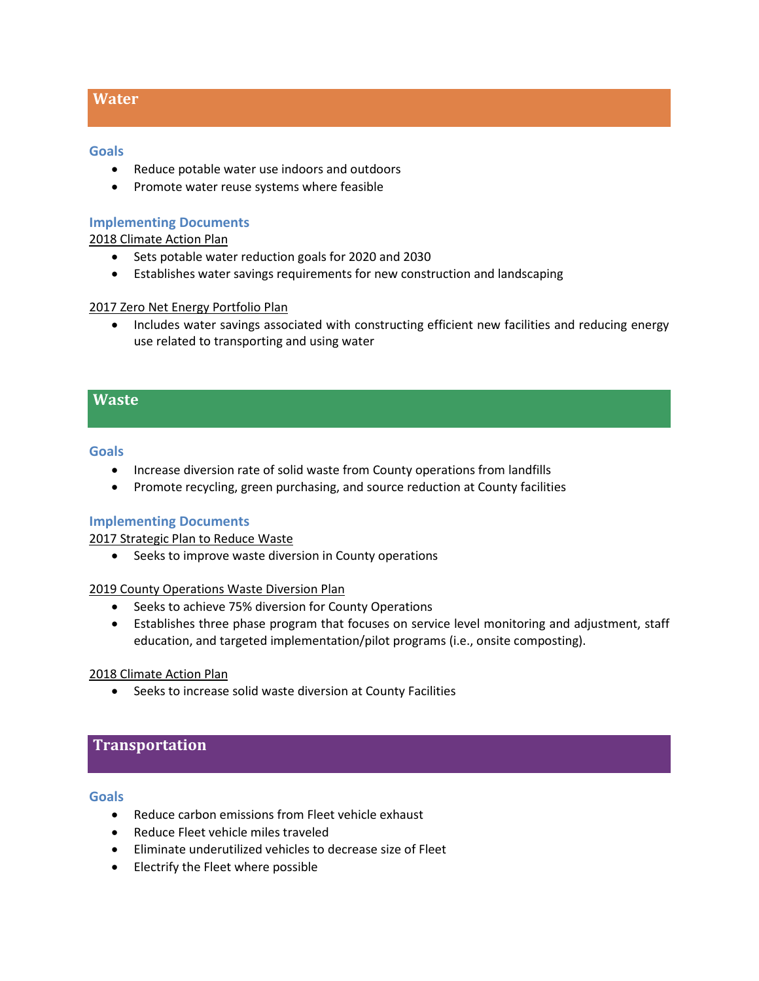## **Water**

#### **Goals**

- Reduce potable water use indoors and outdoors
- Promote water reuse systems where feasible

## **Implementing Documents**

### 2018 Climate Action Plan

- Sets potable water reduction goals for 2020 and 2030
- Establishes water savings requirements for new construction and landscaping

#### 2017 Zero Net Energy Portfolio Plan

• Includes water savings associated with constructing efficient new facilities and reducing energy use related to transporting and using water

## **Waste**

#### **Goals**

- Increase diversion rate of solid waste from County operations from landfills
- Promote recycling, green purchasing, and source reduction at County facilities

#### **Implementing Documents**

2017 Strategic Plan to Reduce Waste

• Seeks to improve waste diversion in County operations

#### 2019 County Operations Waste Diversion Plan

- Seeks to achieve 75% diversion for County Operations
- Establishes three phase program that focuses on service level monitoring and adjustment, staff education, and targeted implementation/pilot programs (i.e., onsite composting).

#### 2018 Climate Action Plan

• Seeks to increase solid waste diversion at County Facilities

# **Transportation**

## **Goals**

- Reduce carbon emissions from Fleet vehicle exhaust
- Reduce Fleet vehicle miles traveled
- Eliminate underutilized vehicles to decrease size of Fleet
- Electrify the Fleet where possible